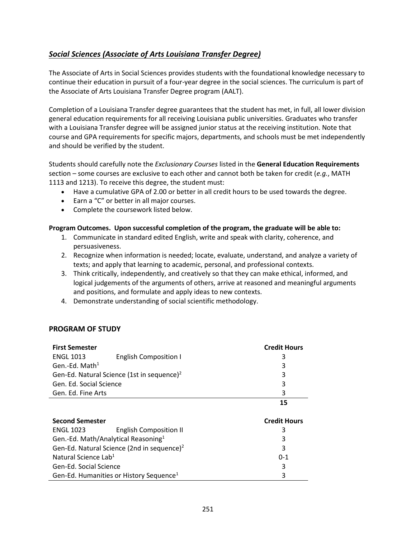# <span id="page-0-0"></span>*[Social Sciences \(Associate of Arts Louisiana](#page-0-0) Transfer Degree)*

The Associate of Arts in Social Sciences provides students with the foundational knowledge necessary to continue their education in pursuit of a four-year degree in the social sciences. The curriculum is part of the Associate of Arts Louisiana Transfer Degree program (AALT).

Completion of a Louisiana Transfer degree guarantees that the student has met, in full, all lower division general education requirements for all receiving Louisiana public universities. Graduates who transfer with a Louisiana Transfer degree will be assigned junior status at the receiving institution. Note that course and GPA requirements for specific majors, departments, and schools must be met independently and should be verified by the student.

Students should carefully note the *Exclusionary Courses* listed in the **General Education Requirements** section – some courses are exclusive to each other and cannot both be taken for credit (*e.g.*, MATH 1113 and 1213). To receive this degree, the student must:

- Have a cumulative GPA of 2.00 or better in all credit hours to be used towards the degree.
- Earn a "C" or better in all major courses.
- Complete the coursework listed below.

### **Program Outcomes. Upon successful completion of the program, the graduate will be able to:**

- 1. Communicate in standard edited English, write and speak with clarity, coherence, and persuasiveness.
- 2. Recognize when information is needed; locate, evaluate, understand, and analyze a variety of texts; and apply that learning to academic, personal, and professional contexts.
- 3. Think critically, independently, and creatively so that they can make ethical, informed, and logical judgements of the arguments of others, arrive at reasoned and meaningful arguments and positions, and formulate and apply ideas to new contexts.
- 4. Demonstrate understanding of social scientific methodology.

### **PROGRAM OF STUDY**

| <b>First Semester</b>                           |                                                        | <b>Credit Hours</b> |
|-------------------------------------------------|--------------------------------------------------------|---------------------|
| <b>ENGL 1013</b>                                | <b>English Composition I</b>                           | 3                   |
| Gen.-Ed. Math $1$                               |                                                        | 3                   |
|                                                 | Gen-Ed. Natural Science (1st in sequence) <sup>2</sup> | 3                   |
| Gen. Ed. Social Science                         |                                                        | 3                   |
| Gen. Ed. Fine Arts                              |                                                        | 3                   |
|                                                 |                                                        | 15                  |
|                                                 |                                                        |                     |
|                                                 |                                                        |                     |
| <b>Second Semester</b>                          |                                                        | <b>Credit Hours</b> |
| ENGL 1023                                       | <b>English Composition II</b>                          | 3                   |
| Gen.-Ed. Math/Analytical Reasoning <sup>1</sup> |                                                        | 3                   |
|                                                 | Gen-Ed. Natural Science (2nd in sequence) <sup>2</sup> | 3                   |
| Natural Science Lab <sup>1</sup>                |                                                        | $0 - 1$             |
| Gen-Ed. Social Science                          |                                                        | 3                   |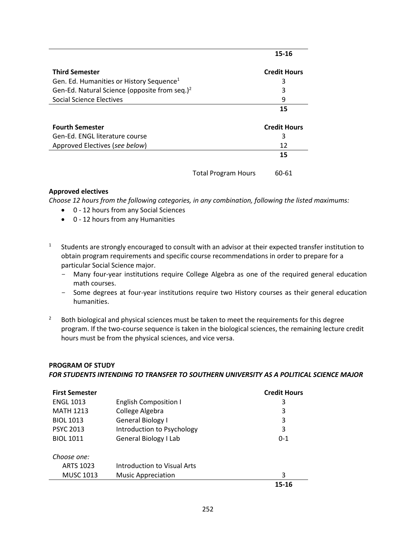|                                                           | 15-16               |
|-----------------------------------------------------------|---------------------|
| <b>Third Semester</b>                                     | <b>Credit Hours</b> |
| Gen. Ed. Humanities or History Sequence <sup>1</sup>      | 3                   |
| Gen-Ed. Natural Science (opposite from seq.) <sup>2</sup> | 3                   |
| Social Science Electives                                  | 9                   |
|                                                           | 15                  |
|                                                           |                     |
| <b>Fourth Semester</b>                                    | <b>Credit Hours</b> |
| Gen-Ed. ENGL literature course                            | 3                   |
| Approved Electives (see below)                            | 12                  |
|                                                           | 15                  |
| <b>Total Program Hours</b>                                | 60-61               |

#### **Approved electives**

*Choose 12 hours from the following categories, in any combination, following the listed maximums:*

- 0 12 hours from any Social Sciences
- 0 12 hours from any Humanities
- 1 Students are strongly encouraged to consult with an advisor at their expected transfer institution to obtain program requirements and specific course recommendations in order to prepare for a particular Social Science major.
	- Many four-year institutions require College Algebra as one of the required general education math courses.
	- Some degrees at four-year institutions require two History courses as their general education humanities.
- <sup>2</sup> Both biological and physical sciences must be taken to meet the requirements for this degree program. If the two-course sequence is taken in the biological sciences, the remaining lecture credit hours must be from the physical sciences, and vice versa.

#### **PROGRAM OF STUDY**

*FOR STUDENTS INTENDING TO TRANSFER TO SOUTHERN UNIVERSITY AS A POLITICAL SCIENCE MAJOR*

| <b>First Semester</b> |                              | <b>Credit Hours</b> |
|-----------------------|------------------------------|---------------------|
| <b>ENGL 1013</b>      | <b>English Composition I</b> | 3                   |
| <b>MATH 1213</b>      | College Algebra              | 3                   |
| <b>BIOL 1013</b>      | General Biology I            | 3                   |
| <b>PSYC 2013</b>      | Introduction to Psychology   | 3                   |
| <b>BIOL 1011</b>      | General Biology I Lab        | $0 - 1$             |
| Choose one:           |                              |                     |
| <b>ARTS 1023</b>      | Introduction to Visual Arts  |                     |
| <b>MUSC 1013</b>      | <b>Music Appreciation</b>    | 3                   |
|                       |                              | 15-16               |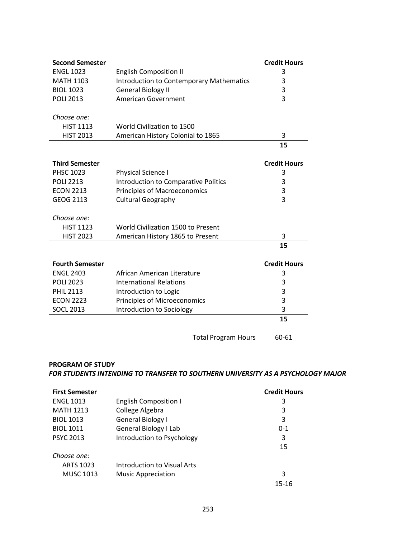| <b>Second Semester</b> |                                                 | <b>Credit Hours</b> |
|------------------------|-------------------------------------------------|---------------------|
| <b>ENGL 1023</b>       | <b>English Composition II</b>                   | 3                   |
| <b>MATH 1103</b>       | <b>Introduction to Contemporary Mathematics</b> | 3                   |
| <b>BIOL 1023</b>       | <b>General Biology II</b>                       | 3                   |
| <b>POLI 2013</b>       | American Government                             | 3                   |
|                        |                                                 |                     |
| Choose one:            |                                                 |                     |
| <b>HIST 1113</b>       | World Civilization to 1500                      |                     |
| <b>HIST 2013</b>       | American History Colonial to 1865               | 3                   |
|                        |                                                 | 15                  |
|                        |                                                 |                     |
| <b>Third Semester</b>  |                                                 | <b>Credit Hours</b> |
| <b>PHSC 1023</b>       | Physical Science I                              | 3                   |
| <b>POLI 2213</b>       | <b>Introduction to Comparative Politics</b>     | 3                   |
| <b>ECON 2213</b>       | <b>Principles of Macroeconomics</b>             | 3                   |
| <b>GEOG 2113</b>       | <b>Cultural Geography</b>                       | 3                   |
|                        |                                                 |                     |
| Choose one:            |                                                 |                     |
| <b>HIST 1123</b>       | World Civilization 1500 to Present              |                     |
| <b>HIST 2023</b>       | American History 1865 to Present                | 3                   |
|                        |                                                 | 15                  |
| <b>Fourth Semester</b> |                                                 | <b>Credit Hours</b> |
| <b>ENGL 2403</b>       | African American Literature                     | 3                   |
| <b>POLI 2023</b>       | <b>International Relations</b>                  | 3                   |
| <b>PHIL 2113</b>       | Introduction to Logic                           | 3                   |
| <b>ECON 2223</b>       | <b>Principles of Microeconomics</b>             | 3                   |
| <b>SOCL 2013</b>       | Introduction to Sociology                       | 3                   |
|                        |                                                 | 15                  |
|                        |                                                 |                     |
|                        | <b>Total Program Hours</b>                      | 60-61               |

## **PROGRAM OF STUDY** *FOR STUDENTS INTENDING TO TRANSFER TO SOUTHERN UNIVERSITY AS A PSYCHOLOGY MAJOR*

| <b>First Semester</b> |                              | <b>Credit Hours</b> |
|-----------------------|------------------------------|---------------------|
| <b>ENGL 1013</b>      | <b>English Composition I</b> | 3                   |
| <b>MATH 1213</b>      | College Algebra              | 3                   |
| <b>BIOL 1013</b>      | General Biology I            | 3                   |
| <b>BIOL 1011</b>      | General Biology I Lab        | $0 - 1$             |
| <b>PSYC 2013</b>      | Introduction to Psychology   | 3                   |
|                       |                              | 15                  |
| Choose one:           |                              |                     |
| <b>ARTS 1023</b>      | Introduction to Visual Arts  |                     |
| <b>MUSC 1013</b>      | <b>Music Appreciation</b>    | 3                   |
|                       |                              | 15-16               |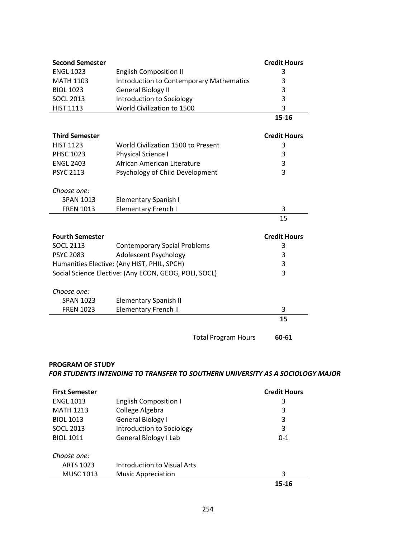| <b>Second Semester</b>                      |                                                       | <b>Credit Hours</b> |
|---------------------------------------------|-------------------------------------------------------|---------------------|
| <b>ENGL 1023</b>                            | <b>English Composition II</b>                         | 3                   |
| <b>MATH 1103</b>                            | <b>Introduction to Contemporary Mathematics</b>       | 3                   |
| <b>BIOL 1023</b>                            | <b>General Biology II</b>                             | 3                   |
| <b>SOCL 2013</b>                            | Introduction to Sociology                             | 3                   |
| <b>HIST 1113</b>                            | World Civilization to 1500                            | 3                   |
|                                             |                                                       | 15-16               |
| <b>Third Semester</b>                       |                                                       | <b>Credit Hours</b> |
| <b>HIST 1123</b>                            | World Civilization 1500 to Present                    | 3                   |
| <b>PHSC 1023</b>                            | Physical Science I                                    | 3                   |
| <b>ENGL 2403</b>                            | African American Literature                           | 3                   |
| <b>PSYC 2113</b>                            | Psychology of Child Development                       | 3                   |
| Choose one:                                 |                                                       |                     |
| <b>SPAN 1013</b>                            | Elementary Spanish I                                  |                     |
| <b>FREN 1013</b>                            | <b>Elementary French I</b>                            | 3                   |
|                                             |                                                       | 15                  |
|                                             |                                                       |                     |
| <b>Fourth Semester</b>                      |                                                       | <b>Credit Hours</b> |
| <b>SOCL 2113</b>                            | <b>Contemporary Social Problems</b>                   | 3                   |
| <b>PSYC 2083</b>                            | Adolescent Psychology                                 | 3                   |
| Humanities Elective: (Any HIST, PHIL, SPCH) |                                                       | 3                   |
|                                             | Social Science Elective: (Any ECON, GEOG, POLI, SOCL) | 3                   |
| Choose one:                                 |                                                       |                     |
| <b>SPAN 1023</b>                            | <b>Elementary Spanish II</b>                          |                     |
| <b>FREN 1023</b>                            | <b>Elementary French II</b>                           | 3                   |
|                                             |                                                       | 15                  |
|                                             | <b>Total Program Hours</b>                            | 60-61               |

## **PROGRAM OF STUDY**  *FOR STUDENTS INTENDING TO TRANSFER TO SOUTHERN UNIVERSITY AS A SOCIOLOGY MAJOR*

| <b>First Semester</b> |                              | <b>Credit Hours</b> |
|-----------------------|------------------------------|---------------------|
| <b>ENGL 1013</b>      | <b>English Composition I</b> | 3                   |
| <b>MATH 1213</b>      | College Algebra              | 3                   |
| <b>BIOL 1013</b>      | General Biology I            | 3                   |
| <b>SOCL 2013</b>      | Introduction to Sociology    | 3                   |
| <b>BIOL 1011</b>      | General Biology I Lab        | $0 - 1$             |
| Choose one:           |                              |                     |
| <b>ARTS 1023</b>      | Introduction to Visual Arts  |                     |
| <b>MUSC 1013</b>      | <b>Music Appreciation</b>    | 3                   |
|                       |                              | 15-16               |